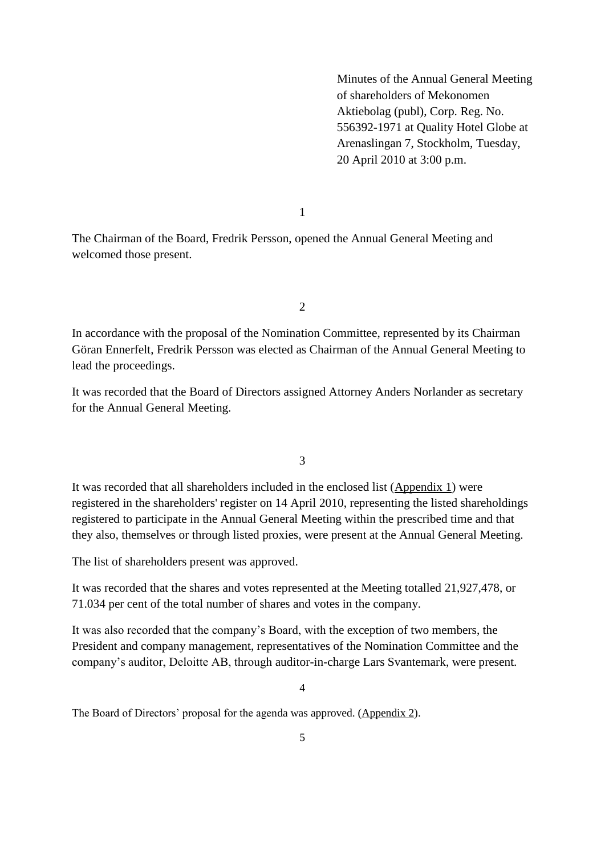Minutes of the Annual General Meeting of shareholders of Mekonomen Aktiebolag (publ), Corp. Reg. No. 556392-1971 at Quality Hotel Globe at Arenaslingan 7, Stockholm, Tuesday, 20 April 2010 at 3:00 p.m.

1

The Chairman of the Board, Fredrik Persson, opened the Annual General Meeting and welcomed those present.

2

In accordance with the proposal of the Nomination Committee, represented by its Chairman Göran Ennerfelt, Fredrik Persson was elected as Chairman of the Annual General Meeting to lead the proceedings.

It was recorded that the Board of Directors assigned Attorney Anders Norlander as secretary for the Annual General Meeting.

3

It was recorded that all shareholders included in the enclosed list (Appendix 1) were registered in the shareholders' register on 14 April 2010, representing the listed shareholdings registered to participate in the Annual General Meeting within the prescribed time and that they also, themselves or through listed proxies, were present at the Annual General Meeting.

The list of shareholders present was approved.

It was recorded that the shares and votes represented at the Meeting totalled 21,927,478, or 71.034 per cent of the total number of shares and votes in the company.

It was also recorded that the company's Board, with the exception of two members, the President and company management, representatives of the Nomination Committee and the company's auditor, Deloitte AB, through auditor-in-charge Lars Svantemark, were present.

4

The Board of Directors' proposal for the agenda was approved. (Appendix 2).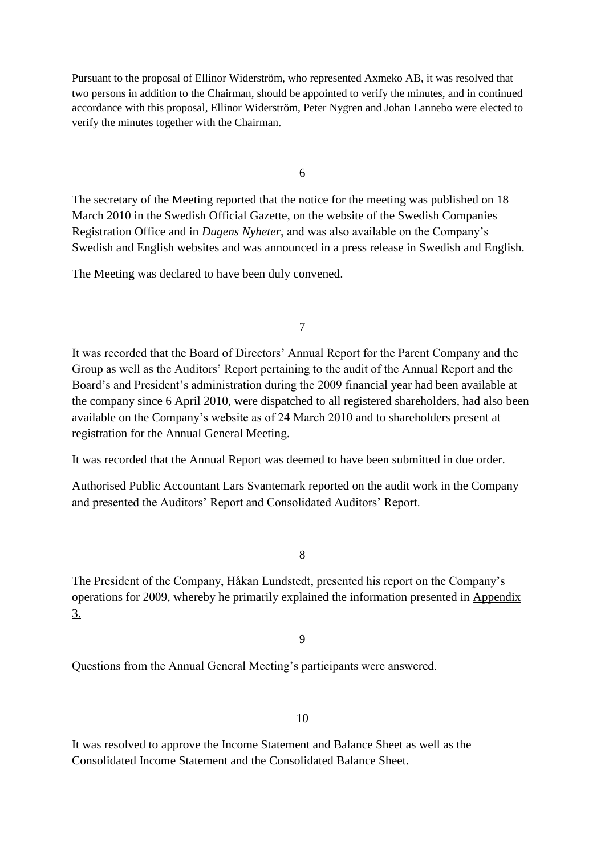Pursuant to the proposal of Ellinor Widerström, who represented Axmeko AB, it was resolved that two persons in addition to the Chairman, should be appointed to verify the minutes, and in continued accordance with this proposal, Ellinor Widerström, Peter Nygren and Johan Lannebo were elected to verify the minutes together with the Chairman.

6

The secretary of the Meeting reported that the notice for the meeting was published on 18 March 2010 in the Swedish Official Gazette, on the website of the Swedish Companies Registration Office and in *Dagens Nyheter*, and was also available on the Company's Swedish and English websites and was announced in a press release in Swedish and English.

The Meeting was declared to have been duly convened.

7

It was recorded that the Board of Directors' Annual Report for the Parent Company and the Group as well as the Auditors' Report pertaining to the audit of the Annual Report and the Board's and President's administration during the 2009 financial year had been available at the company since 6 April 2010, were dispatched to all registered shareholders, had also been available on the Company's website as of 24 March 2010 and to shareholders present at registration for the Annual General Meeting.

It was recorded that the Annual Report was deemed to have been submitted in due order.

Authorised Public Accountant Lars Svantemark reported on the audit work in the Company and presented the Auditors' Report and Consolidated Auditors' Report.

8

The President of the Company, Håkan Lundstedt, presented his report on the Company's operations for 2009, whereby he primarily explained the information presented in Appendix 3.

9

Questions from the Annual General Meeting's participants were answered.

10

It was resolved to approve the Income Statement and Balance Sheet as well as the Consolidated Income Statement and the Consolidated Balance Sheet.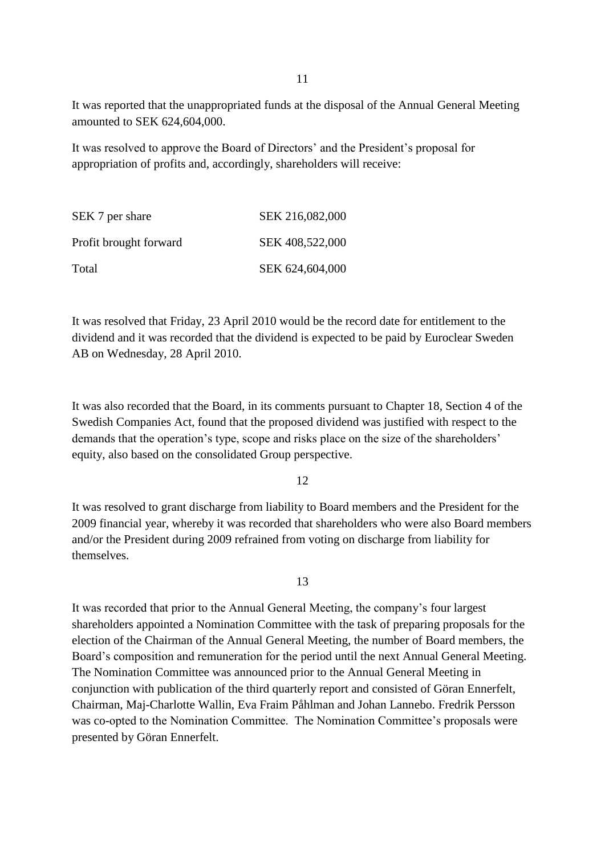It was reported that the unappropriated funds at the disposal of the Annual General Meeting amounted to SEK 624,604,000.

It was resolved to approve the Board of Directors' and the President's proposal for appropriation of profits and, accordingly, shareholders will receive:

| SEK 7 per share        | SEK 216,082,000 |
|------------------------|-----------------|
| Profit brought forward | SEK 408,522,000 |
| Total                  | SEK 624,604,000 |

It was resolved that Friday, 23 April 2010 would be the record date for entitlement to the dividend and it was recorded that the dividend is expected to be paid by Euroclear Sweden AB on Wednesday, 28 April 2010.

It was also recorded that the Board, in its comments pursuant to Chapter 18, Section 4 of the Swedish Companies Act, found that the proposed dividend was justified with respect to the demands that the operation's type, scope and risks place on the size of the shareholders' equity, also based on the consolidated Group perspective.

12

It was resolved to grant discharge from liability to Board members and the President for the 2009 financial year, whereby it was recorded that shareholders who were also Board members and/or the President during 2009 refrained from voting on discharge from liability for themselves.

13

It was recorded that prior to the Annual General Meeting, the company's four largest shareholders appointed a Nomination Committee with the task of preparing proposals for the election of the Chairman of the Annual General Meeting, the number of Board members, the Board's composition and remuneration for the period until the next Annual General Meeting. The Nomination Committee was announced prior to the Annual General Meeting in conjunction with publication of the third quarterly report and consisted of Göran Ennerfelt, Chairman, Maj-Charlotte Wallin, Eva Fraim Påhlman and Johan Lannebo. Fredrik Persson was co-opted to the Nomination Committee. The Nomination Committee's proposals were presented by Göran Ennerfelt.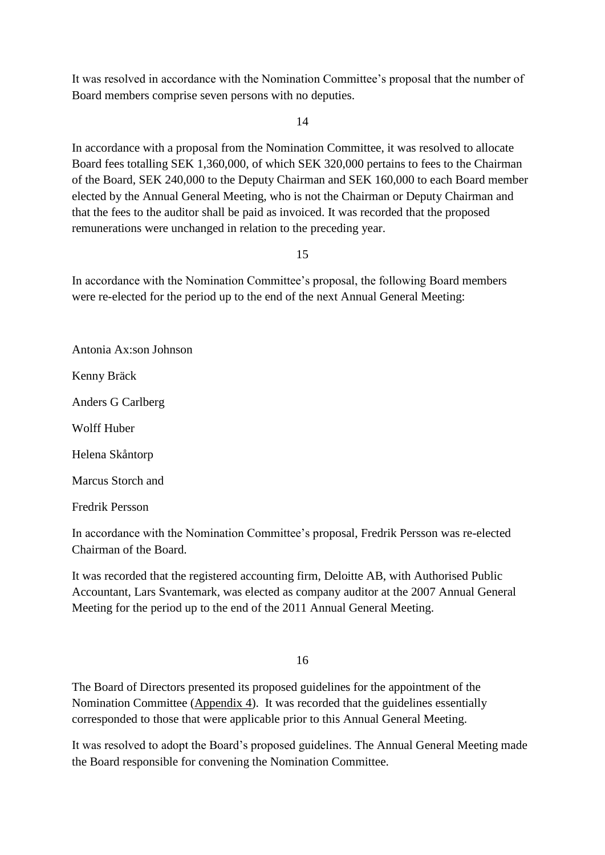It was resolved in accordance with the Nomination Committee's proposal that the number of Board members comprise seven persons with no deputies.

14

In accordance with a proposal from the Nomination Committee, it was resolved to allocate Board fees totalling SEK 1,360,000, of which SEK 320,000 pertains to fees to the Chairman of the Board, SEK 240,000 to the Deputy Chairman and SEK 160,000 to each Board member elected by the Annual General Meeting, who is not the Chairman or Deputy Chairman and that the fees to the auditor shall be paid as invoiced. It was recorded that the proposed remunerations were unchanged in relation to the preceding year.

15

In accordance with the Nomination Committee's proposal, the following Board members were re-elected for the period up to the end of the next Annual General Meeting:

Antonia Ax:son Johnson

Kenny Bräck

Anders G Carlberg

Wolff Huber

Helena Skåntorp

Marcus Storch and

Fredrik Persson

In accordance with the Nomination Committee's proposal, Fredrik Persson was re-elected Chairman of the Board.

It was recorded that the registered accounting firm, Deloitte AB, with Authorised Public Accountant, Lars Svantemark, was elected as company auditor at the 2007 Annual General Meeting for the period up to the end of the 2011 Annual General Meeting.

16

The Board of Directors presented its proposed guidelines for the appointment of the Nomination Committee (Appendix 4). It was recorded that the guidelines essentially corresponded to those that were applicable prior to this Annual General Meeting.

It was resolved to adopt the Board's proposed guidelines. The Annual General Meeting made the Board responsible for convening the Nomination Committee.